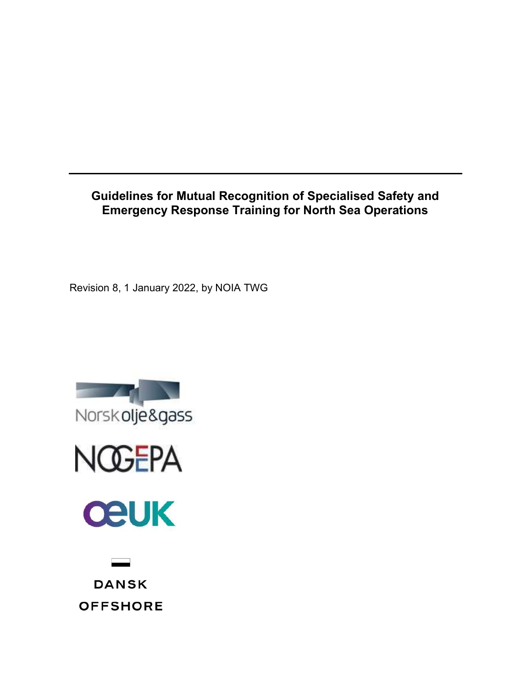Guidelines for Mutual Recognition of Specialised Safety and Emergency Response Training for North Sea Operations

Revision 8, 1 January 2022, by NOIA TWG







**DANSK OFFSHORE**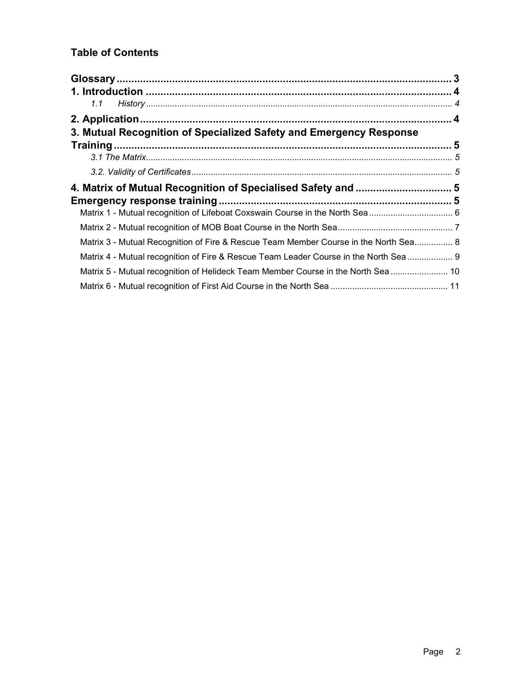# Table of Contents

| 1.1                                                                                   |  |
|---------------------------------------------------------------------------------------|--|
|                                                                                       |  |
| 3. Mutual Recognition of Specialized Safety and Emergency Response                    |  |
|                                                                                       |  |
|                                                                                       |  |
|                                                                                       |  |
|                                                                                       |  |
|                                                                                       |  |
|                                                                                       |  |
|                                                                                       |  |
| Matrix 3 - Mutual Recognition of Fire & Rescue Team Member Course in the North Sea 8  |  |
| Matrix 4 - Mutual recognition of Fire & Rescue Team Leader Course in the North Sea  9 |  |
| Matrix 5 - Mutual recognition of Helideck Team Member Course in the North Sea 10      |  |
|                                                                                       |  |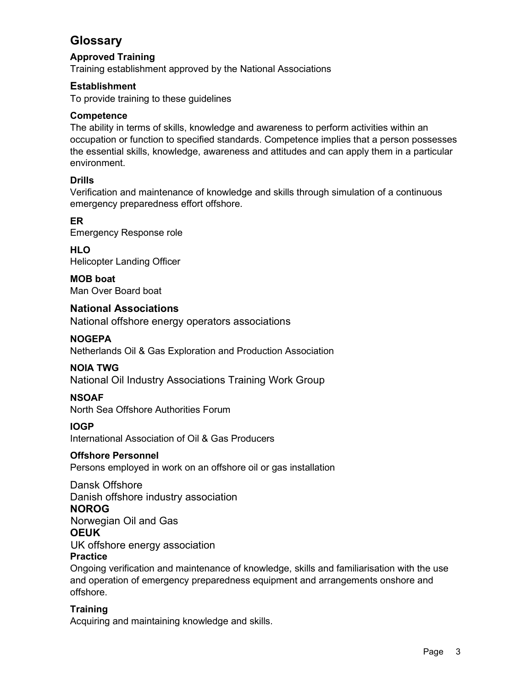# **Glossary**

# Approved Training

Training establishment approved by the National Associations

## Establishment

To provide training to these guidelines

#### **Competence**

The ability in terms of skills, knowledge and awareness to perform activities within an occupation or function to specified standards. Competence implies that a person possesses the essential skills, knowledge, awareness and attitudes and can apply them in a particular environment.

#### Drills

Verification and maintenance of knowledge and skills through simulation of a continuous emergency preparedness effort offshore.

## ER

Emergency Response role

# **HLO**

Helicopter Landing Officer

MOB boat Man Over Board boat

## National Associations

National offshore energy operators associations

## NOGEPA

Netherlands Oil & Gas Exploration and Production Association

## NOIA TWG

National Oil Industry Associations Training Work Group

## **NSOAF**

North Sea Offshore Authorities Forum

#### IOGP

International Association of Oil & Gas Producers

## Offshore Personnel

Persons employed in work on an offshore oil or gas installation

#### Dansk Offshore

Danish offshore industry association

#### NOROG

Norwegian Oil and Gas

#### **OEUK**

UK offshore energy association

## **Practice**

Ongoing verification and maintenance of knowledge, skills and familiarisation with the use and operation of emergency preparedness equipment and arrangements onshore and offshore.

## **Training**

Acquiring and maintaining knowledge and skills.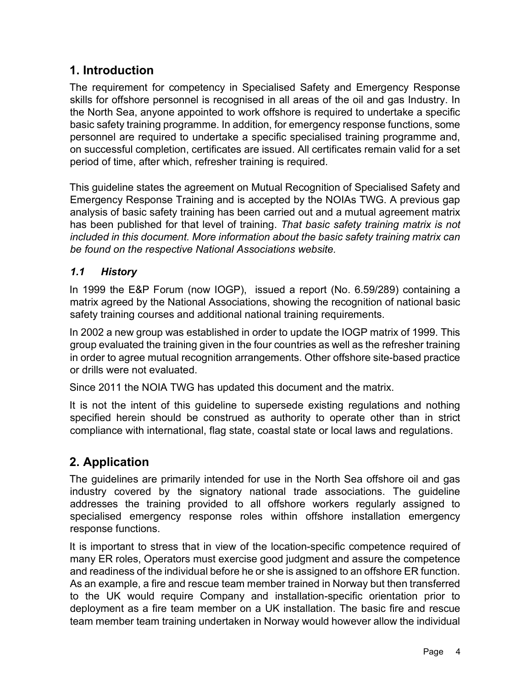# 1. Introduction

The requirement for competency in Specialised Safety and Emergency Response skills for offshore personnel is recognised in all areas of the oil and gas Industry. In the North Sea, anyone appointed to work offshore is required to undertake a specific basic safety training programme. In addition, for emergency response functions, some personnel are required to undertake a specific specialised training programme and, on successful completion, certificates are issued. All certificates remain valid for a set period of time, after which, refresher training is required.

This guideline states the agreement on Mutual Recognition of Specialised Safety and Emergency Response Training and is accepted by the NOIAs TWG. A previous gap analysis of basic safety training has been carried out and a mutual agreement matrix has been published for that level of training. That basic safety training matrix is not included in this document. More information about the basic safety training matrix can be found on the respective National Associations website.

# 1.1 History

In 1999 the E&P Forum (now IOGP), issued a report (No. 6.59/289) containing a matrix agreed by the National Associations, showing the recognition of national basic safety training courses and additional national training requirements.

In 2002 a new group was established in order to update the IOGP matrix of 1999. This group evaluated the training given in the four countries as well as the refresher training in order to agree mutual recognition arrangements. Other offshore site-based practice or drills were not evaluated.

Since 2011 the NOIA TWG has updated this document and the matrix.

It is not the intent of this guideline to supersede existing regulations and nothing specified herein should be construed as authority to operate other than in strict compliance with international, flag state, coastal state or local laws and regulations.

# 2. Application

The guidelines are primarily intended for use in the North Sea offshore oil and gas industry covered by the signatory national trade associations. The guideline addresses the training provided to all offshore workers regularly assigned to specialised emergency response roles within offshore installation emergency response functions.

It is important to stress that in view of the location-specific competence required of many ER roles, Operators must exercise good judgment and assure the competence and readiness of the individual before he or she is assigned to an offshore ER function. As an example, a fire and rescue team member trained in Norway but then transferred to the UK would require Company and installation-specific orientation prior to deployment as a fire team member on a UK installation. The basic fire and rescue team member team training undertaken in Norway would however allow the individual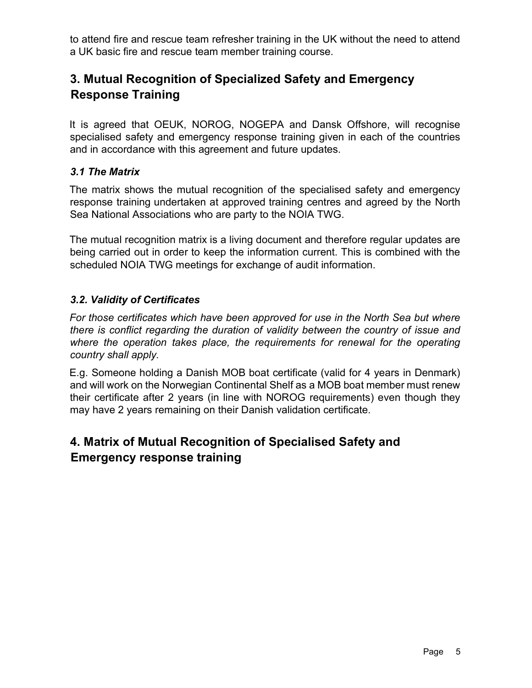to attend fire and rescue team refresher training in the UK without the need to attend a UK basic fire and rescue team member training course.

# 3. Mutual Recognition of Specialized Safety and Emergency Response Training

It is agreed that OEUK, NOROG, NOGEPA and Dansk Offshore, will recognise specialised safety and emergency response training given in each of the countries and in accordance with this agreement and future updates.

# 3.1 The Matrix

The matrix shows the mutual recognition of the specialised safety and emergency response training undertaken at approved training centres and agreed by the North Sea National Associations who are party to the NOIA TWG.

The mutual recognition matrix is a living document and therefore regular updates are being carried out in order to keep the information current. This is combined with the scheduled NOIA TWG meetings for exchange of audit information.

# 3.2. Validity of Certificates

For those certificates which have been approved for use in the North Sea but where there is conflict regarding the duration of validity between the country of issue and where the operation takes place, the requirements for renewal for the operating country shall apply.

E.g. Someone holding a Danish MOB boat certificate (valid for 4 years in Denmark) and will work on the Norwegian Continental Shelf as a MOB boat member must renew their certificate after 2 years (in line with NOROG requirements) even though they may have 2 years remaining on their Danish validation certificate.

# 4. Matrix of Mutual Recognition of Specialised Safety and Emergency response training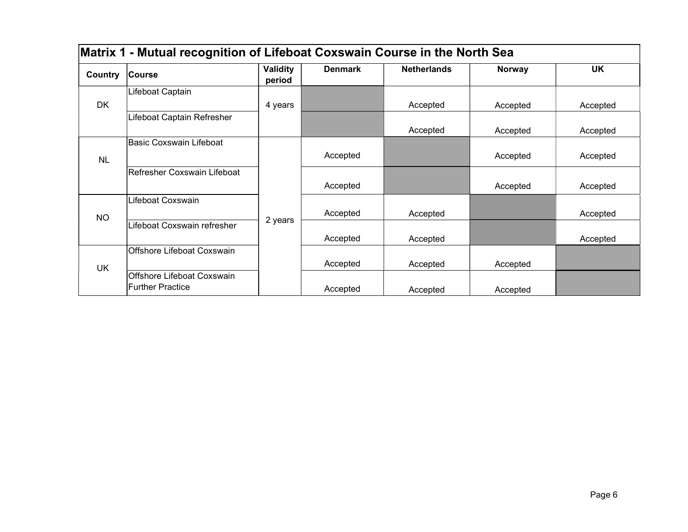| Matrix 1 - Mutual recognition of Lifeboat Coxswain Course in the North Sea |                                |                    |                |                    |               |           |  |
|----------------------------------------------------------------------------|--------------------------------|--------------------|----------------|--------------------|---------------|-----------|--|
| Country                                                                    | <b>Course</b>                  | Validity<br>period | <b>Denmark</b> | <b>Netherlands</b> | <b>Norway</b> | <b>UK</b> |  |
|                                                                            | Lifeboat Captain               |                    |                |                    |               |           |  |
| <b>DK</b>                                                                  |                                | 4 years            |                | Accepted           | Accepted      | Accepted  |  |
|                                                                            | Lifeboat Captain Refresher     |                    |                |                    |               |           |  |
|                                                                            |                                |                    |                | Accepted           | Accepted      | Accepted  |  |
|                                                                            | <b>Basic Coxswain Lifeboat</b> |                    |                |                    |               |           |  |
| <b>NL</b>                                                                  |                                |                    | Accepted       |                    | Accepted      | Accepted  |  |
|                                                                            | Refresher Coxswain Lifeboat    |                    |                |                    |               |           |  |
|                                                                            |                                |                    | Accepted       |                    | Accepted      | Accepted  |  |
|                                                                            | Lifeboat Coxswain              |                    |                |                    |               |           |  |
| <b>NO</b>                                                                  |                                |                    | Accepted       | Accepted           |               | Accepted  |  |
|                                                                            | Lifeboat Coxswain refresher    | 2 years            |                |                    |               |           |  |
|                                                                            |                                |                    | Accepted       | Accepted           |               | Accepted  |  |
| <b>UK</b>                                                                  | Offshore Lifeboat Coxswain     |                    |                |                    |               |           |  |
|                                                                            |                                |                    | Accepted       | Accepted           | Accepted      |           |  |
|                                                                            | Offshore Lifeboat Coxswain     |                    |                |                    |               |           |  |
|                                                                            | <b>Further Practice</b>        |                    | Accepted       | Accepted           | Accepted      |           |  |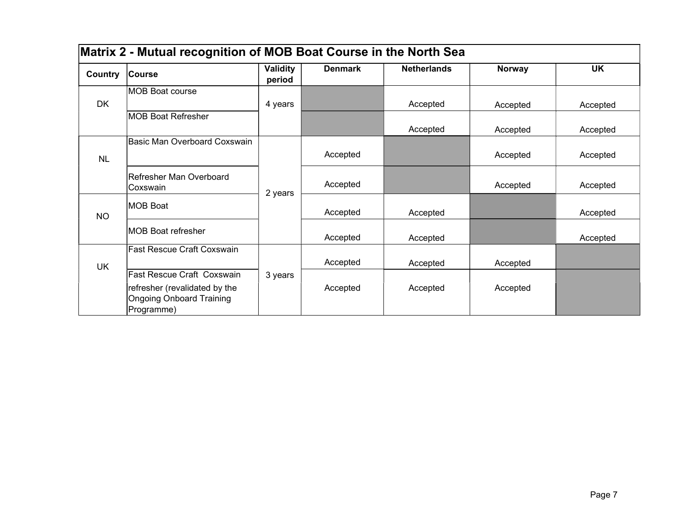| Matrix 2 - Mutual recognition of MOB Boat Course in the North Sea |                                                                                |                    |                |                    |               |           |
|-------------------------------------------------------------------|--------------------------------------------------------------------------------|--------------------|----------------|--------------------|---------------|-----------|
| Country                                                           | <b>Course</b>                                                                  | Validity<br>period | <b>Denmark</b> | <b>Netherlands</b> | <b>Norway</b> | <b>UK</b> |
|                                                                   | MOB Boat course                                                                |                    |                |                    |               |           |
| <b>DK</b>                                                         |                                                                                | 4 years            |                | Accepted           | Accepted      | Accepted  |
|                                                                   | <b>MOB Boat Refresher</b>                                                      |                    |                | Accepted           | Accepted      | Accepted  |
|                                                                   | Basic Man Overboard Coxswain                                                   |                    |                |                    |               |           |
| <b>NL</b>                                                         |                                                                                |                    | Accepted       |                    | Accepted      | Accepted  |
|                                                                   | Refresher Man Overboard<br>lCoxswain                                           | 2 years            | Accepted       |                    | Accepted      | Accepted  |
| NO                                                                | MOB Boat                                                                       |                    | Accepted       | Accepted           |               | Accepted  |
|                                                                   | <b>IMOB Boat refresher</b>                                                     |                    | Accepted       | Accepted           |               | Accepted  |
|                                                                   | <b>Fast Rescue Craft Coxswain</b>                                              |                    |                |                    |               |           |
| <b>UK</b>                                                         |                                                                                |                    | Accepted       | Accepted           | Accepted      |           |
|                                                                   | Fast Rescue Craft Coxswain                                                     | 3 years            |                |                    |               |           |
|                                                                   | refresher (revalidated by the<br><b>Ongoing Onboard Training</b><br>Programme) |                    | Accepted       | Accepted           | Accepted      |           |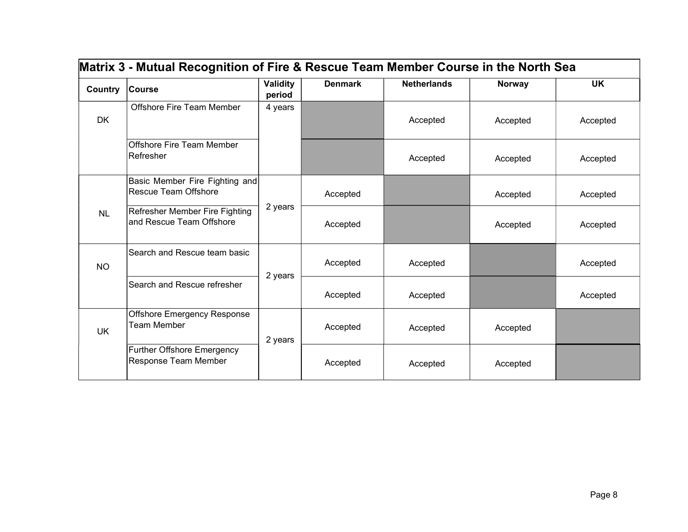| Country   | <b>Course</b>                                                 | <b>Validity</b><br>period | <b>Denmark</b> | <b>Netherlands</b> | <b>Norway</b> | <b>UK</b> |
|-----------|---------------------------------------------------------------|---------------------------|----------------|--------------------|---------------|-----------|
| <b>DK</b> | <b>Offshore Fire Team Member</b>                              | 4 years                   |                | Accepted           | Accepted      | Accepted  |
|           | <b>Offshore Fire Team Member</b><br>Refresher                 |                           |                | Accepted           | Accepted      | Accepted  |
|           | Basic Member Fire Fighting and<br><b>Rescue Team Offshore</b> |                           | Accepted       |                    | Accepted      | Accepted  |
| <b>NL</b> | Refresher Member Fire Fighting<br>and Rescue Team Offshore    | 2 years                   | Accepted       |                    | Accepted      | Accepted  |
| <b>NO</b> | Search and Rescue team basic                                  |                           | Accepted       | Accepted           |               | Accepted  |
|           | Search and Rescue refresher                                   | 2 years                   | Accepted       | Accepted           |               | Accepted  |
| <b>UK</b> | Offshore Emergency Response<br><b>Team Member</b>             | 2 years                   | Accepted       | Accepted           | Accepted      |           |
|           | <b>Further Offshore Emergency</b><br>Response Team Member     |                           | Accepted       | Accepted           | Accepted      |           |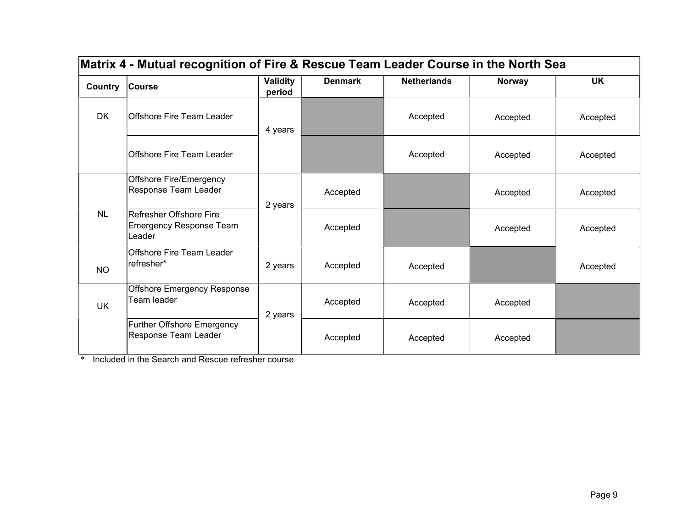| Matrix 4 - Mutual recognition of Fire & Rescue Team Leader Course in the North Sea |                                                                     |                    |                |                    |               |           |  |
|------------------------------------------------------------------------------------|---------------------------------------------------------------------|--------------------|----------------|--------------------|---------------|-----------|--|
| Country                                                                            | <b>Course</b>                                                       | Validity<br>period | <b>Denmark</b> | <b>Netherlands</b> | <b>Norway</b> | <b>UK</b> |  |
| <b>DK</b>                                                                          | Offshore Fire Team Leader                                           | 4 years            |                | Accepted           | Accepted      | Accepted  |  |
|                                                                                    | Offshore Fire Team Leader                                           |                    |                | Accepted           | Accepted      | Accepted  |  |
|                                                                                    | Offshore Fire/Emergency<br>Response Team Leader                     | 2 years            | Accepted       |                    | Accepted      | Accepted  |  |
| <b>NL</b>                                                                          | Refresher Offshore Fire<br><b>Emergency Response Team</b><br>Leader |                    | Accepted       |                    | Accepted      | Accepted  |  |
| <b>NO</b>                                                                          | lOffshore Fire Team Leader<br>lrefresher*                           | 2 years            | Accepted       | Accepted           |               | Accepted  |  |
| <b>UK</b>                                                                          | Offshore Emergency Response<br>Team leader                          | 2 years            | Accepted       | Accepted           | Accepted      |           |  |
|                                                                                    | Further Offshore Emergency<br>Response Team Leader                  |                    | Accepted       | Accepted           | Accepted      |           |  |

\* Included in the Search and Rescue refresher course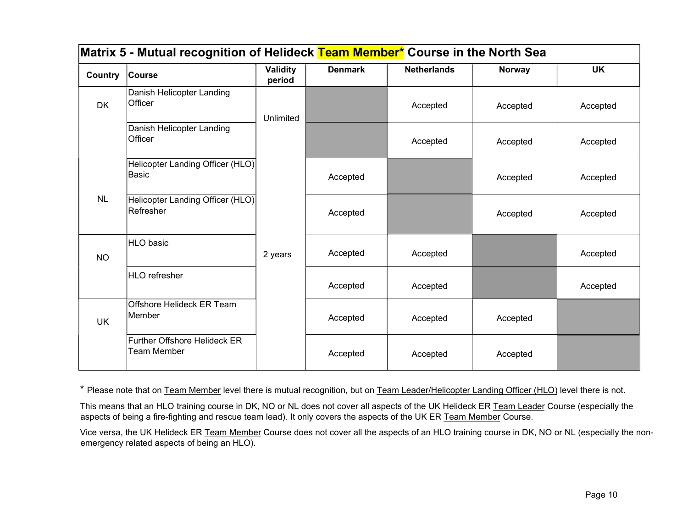| Matrix 5 - Mutual recognition of Helideck <mark>Team Member*</mark> Course in the North Sea |                                                      |                           |                |                    |               |           |  |
|---------------------------------------------------------------------------------------------|------------------------------------------------------|---------------------------|----------------|--------------------|---------------|-----------|--|
| Country                                                                                     | <b>Course</b>                                        | <b>Validity</b><br>period | <b>Denmark</b> | <b>Netherlands</b> | <b>Norway</b> | <b>UK</b> |  |
| <b>DK</b>                                                                                   | Danish Helicopter Landing<br>Officer                 | Unlimited                 |                | Accepted           | Accepted      | Accepted  |  |
|                                                                                             | Danish Helicopter Landing<br>Officer                 |                           |                | Accepted           | Accepted      | Accepted  |  |
|                                                                                             | Helicopter Landing Officer (HLO)<br>Basic            |                           | Accepted       |                    | Accepted      | Accepted  |  |
| <b>NL</b>                                                                                   | Helicopter Landing Officer (HLO)<br><b>Refresher</b> |                           | Accepted       |                    | Accepted      | Accepted  |  |
| <b>NO</b>                                                                                   | HLO basic                                            | 2 years                   | Accepted       | Accepted           |               | Accepted  |  |
|                                                                                             | HLO refresher                                        |                           | Accepted       | Accepted           |               | Accepted  |  |
| <b>UK</b>                                                                                   | Offshore Helideck ER Team<br>Member                  |                           | Accepted       | Accepted           | Accepted      |           |  |
|                                                                                             | <b>Further Offshore Helideck ER</b><br>Team Member   |                           | Accepted       | Accepted           | Accepted      |           |  |

\* Please note that on Team Member level there is mutual recognition, but on Team Leader/Helicopter Landing Officer (HLO) level there is not.

This means that an HLO training course in DK, NO or NL does not cover all aspects of the UK Helideck ER Team Leader Course (especially the aspects of being a fire-fighting and rescue team lead). It only covers the aspects of the UK ER Team Member Course.

Vice versa, the UK Helideck ER Team Member Course does not cover all the aspects of an HLO training course in DK, NO or NL (especially the nonemergency related aspects of being an HLO).